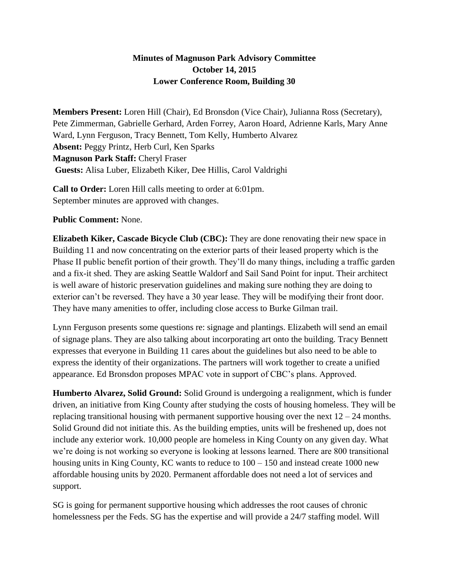## **Minutes of Magnuson Park Advisory Committee October 14, 2015 Lower Conference Room, Building 30**

**Members Present:** Loren Hill (Chair), Ed Bronsdon (Vice Chair), Julianna Ross (Secretary), Pete Zimmerman, Gabrielle Gerhard, Arden Forrey, Aaron Hoard, Adrienne Karls, Mary Anne Ward, Lynn Ferguson, Tracy Bennett, Tom Kelly, Humberto Alvarez **Absent:** Peggy Printz, Herb Curl, Ken Sparks **Magnuson Park Staff:** Cheryl Fraser **Guests:** Alisa Luber, Elizabeth Kiker, Dee Hillis, Carol Valdrighi

**Call to Order:** Loren Hill calls meeting to order at 6:01pm. September minutes are approved with changes.

## **Public Comment:** None.

**Elizabeth Kiker, Cascade Bicycle Club (CBC):** They are done renovating their new space in Building 11 and now concentrating on the exterior parts of their leased property which is the Phase II public benefit portion of their growth. They'll do many things, including a traffic garden and a fix-it shed. They are asking Seattle Waldorf and Sail Sand Point for input. Their architect is well aware of historic preservation guidelines and making sure nothing they are doing to exterior can't be reversed. They have a 30 year lease. They will be modifying their front door. They have many amenities to offer, including close access to Burke Gilman trail.

Lynn Ferguson presents some questions re: signage and plantings. Elizabeth will send an email of signage plans. They are also talking about incorporating art onto the building. Tracy Bennett expresses that everyone in Building 11 cares about the guidelines but also need to be able to express the identity of their organizations. The partners will work together to create a unified appearance. Ed Bronsdon proposes MPAC vote in support of CBC's plans. Approved.

**Humberto Alvarez, Solid Ground:** Solid Ground is undergoing a realignment, which is funder driven, an initiative from King County after studying the costs of housing homeless. They will be replacing transitional housing with permanent supportive housing over the next  $12 - 24$  months. Solid Ground did not initiate this. As the building empties, units will be freshened up, does not include any exterior work. 10,000 people are homeless in King County on any given day. What we're doing is not working so everyone is looking at lessons learned. There are 800 transitional housing units in King County, KC wants to reduce to  $100 - 150$  and instead create 1000 new affordable housing units by 2020. Permanent affordable does not need a lot of services and support.

SG is going for permanent supportive housing which addresses the root causes of chronic homelessness per the Feds. SG has the expertise and will provide a 24/7 staffing model. Will